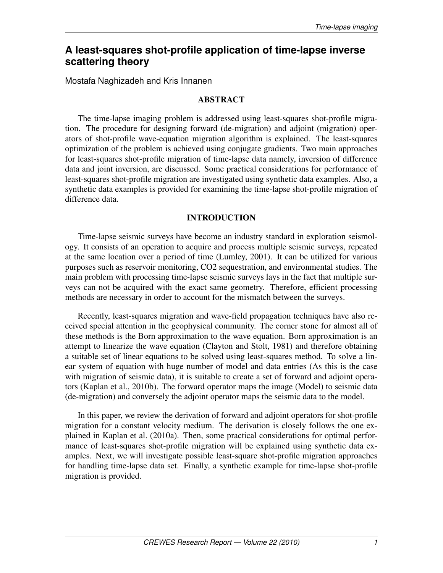# **A least-squares shot-profile application of time-lapse inverse scattering theory**

Mostafa Naghizadeh and Kris Innanen

# ABSTRACT

The time-lapse imaging problem is addressed using least-squares shot-profile migration. The procedure for designing forward (de-migration) and adjoint (migration) operators of shot-profile wave-equation migration algorithm is explained. The least-squares optimization of the problem is achieved using conjugate gradients. Two main approaches for least-squares shot-profile migration of time-lapse data namely, inversion of difference data and joint inversion, are discussed. Some practical considerations for performance of least-squares shot-profile migration are investigated using synthetic data examples. Also, a synthetic data examples is provided for examining the time-lapse shot-profile migration of difference data.

# INTRODUCTION

Time-lapse seismic surveys have become an industry standard in exploration seismology. It consists of an operation to acquire and process multiple seismic surveys, repeated at the same location over a period of time (Lumley, 2001). It can be utilized for various purposes such as reservoir monitoring, CO2 sequestration, and environmental studies. The main problem with processing time-lapse seismic surveys lays in the fact that multiple surveys can not be acquired with the exact same geometry. Therefore, efficient processing methods are necessary in order to account for the mismatch between the surveys.

Recently, least-squares migration and wave-field propagation techniques have also received special attention in the geophysical community. The corner stone for almost all of these methods is the Born approximation to the wave equation. Born approximation is an attempt to linearize the wave equation (Clayton and Stolt, 1981) and therefore obtaining a suitable set of linear equations to be solved using least-squares method. To solve a linear system of equation with huge number of model and data entries (As this is the case with migration of seismic data), it is suitable to create a set of forward and adjoint operators (Kaplan et al., 2010b). The forward operator maps the image (Model) to seismic data (de-migration) and conversely the adjoint operator maps the seismic data to the model.

In this paper, we review the derivation of forward and adjoint operators for shot-profile migration for a constant velocity medium. The derivation is closely follows the one explained in Kaplan et al. (2010a). Then, some practical considerations for optimal performance of least-squares shot-profile migration will be explained using synthetic data examples. Next, we will investigate possible least-square shot-profile migration approaches for handling time-lapse data set. Finally, a synthetic example for time-lapse shot-profile migration is provided.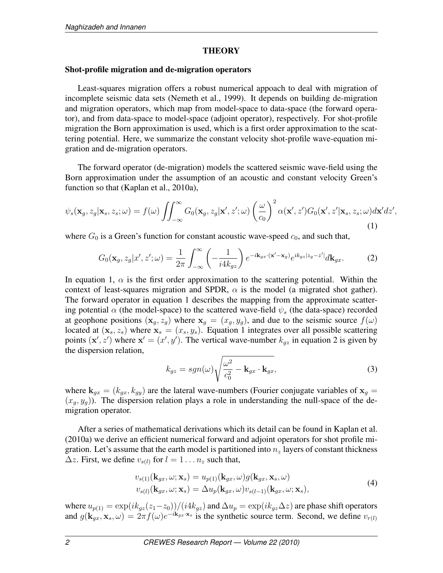#### **THEORY**

### Shot-profile migration and de-migration operators

Least-squares migration offers a robust numerical appoach to deal with migration of incomplete seismic data sets (Nemeth et al., 1999). It depends on building de-migration and migration operators, which map from model-space to data-space (the forward operator), and from data-space to model-space (adjoint operator), respectively. For shot-profile migration the Born approximation is used, which is a first order approximation to the scattering potential. Here, we summarize the constant velocity shot-profile wave-equation migration and de-migration operators.

The forward operator (de-migration) models the scattered seismic wave-field using the Born approximation under the assumption of an acoustic and constant velocity Green's function so that (Kaplan et al., 2010a),

$$
\psi_s(\mathbf{x}_g, z_g | \mathbf{x}_s, z_s; \omega) = f(\omega) \iint_{-\infty}^{\infty} G_0(\mathbf{x}_g, z_g | \mathbf{x}', z'; \omega) \left(\frac{\omega}{c_0}\right)^2 \alpha(\mathbf{x}', z') G_0(\mathbf{x}', z' | \mathbf{x}_s, z_s; \omega) d\mathbf{x}' dz',
$$
\n(1)

where  $G_0$  is a Green's function for constant acoustic wave-speed  $c_0$ , and such that,

$$
G_0(\mathbf{x}_g, z_g | x', z'; \omega) = \frac{1}{2\pi} \int_{-\infty}^{\infty} \left( -\frac{1}{i4k_{gz}} \right) e^{-i\mathbf{k}_{gx} \cdot (\mathbf{x}' - \mathbf{x}_g)} e^{ik_{gz} |z_g - z'|} d\mathbf{k}_{gx}.
$$
 (2)

In equation 1,  $\alpha$  is the first order approximation to the scattering potential. Within the context of least-squares migration and SPDR,  $\alpha$  is the model (a migrated shot gather). The forward operator in equation 1 describes the mapping from the approximate scattering potential  $\alpha$  (the model-space) to the scattered wave-field  $\psi_s$  (the data-space) recorded at geophone positions  $(\mathbf{x}_g, z_g)$  where  $\mathbf{x}_g = (x_g, y_g)$ , and due to the seismic source  $f(\omega)$ located at  $(\mathbf{x}_s, z_s)$  where  $\mathbf{x}_s = (x_s, y_s)$ . Equation 1 integrates over all possible scattering points  $(x', z')$  where  $x' = (x', y')$ . The vertical wave-number  $k_{gz}$  in equation 2 is given by the dispersion relation,

$$
k_{gz} = sgn(\omega) \sqrt{\frac{\omega^2}{c_0^2} - \mathbf{k}_{gx} \cdot \mathbf{k}_{gx}},
$$
\n(3)

where  $\mathbf{k}_{gx} = (k_{gx}, k_{gy})$  are the lateral wave-numbers (Fourier conjugate variables of  $\mathbf{x}_g =$  $(x_g, y_g)$ ). The dispersion relation plays a role in understanding the null-space of the demigration operator.

After a series of mathematical derivations which its detail can be found in Kaplan et al. (2010a) we derive an efficient numerical forward and adjoint operators for shot profile migration. Let's assume that the earth model is partitioned into  $n_z$  layers of constant thickness  $\Delta z$ . First, we define  $v_{s(l)}$  for  $l = 1 \ldots n_z$  such that,

$$
v_{s(1)}(\mathbf{k}_{gx}, \omega; \mathbf{x}_s) = u_{p(1)}(\mathbf{k}_{gx}, \omega)g(\mathbf{k}_{gx}, \mathbf{x}_s, \omega)
$$
  
\n
$$
v_{s(l)}(\mathbf{k}_{gx}, \omega; \mathbf{x}_s) = \Delta u_p(\mathbf{k}_{gx}, \omega) v_{s(l-1)}(\mathbf{k}_{gx}, \omega; \mathbf{x}_s),
$$
\n(4)

where  $u_{p(1)} = \exp(ik_{gz}(z_1-z_0))/(i4k_{gz})$  and  $\Delta u_p = \exp(ik_{gz}\Delta z)$  are phase shift operators and  $g(\mathbf{k}_{gx}, \mathbf{x}_s, \omega) = 2\pi f(\omega)e^{-i\mathbf{k}_{gx} \cdot \mathbf{x}_s}$  is the synthetic source term. Second, we define  $v_{r(l)}$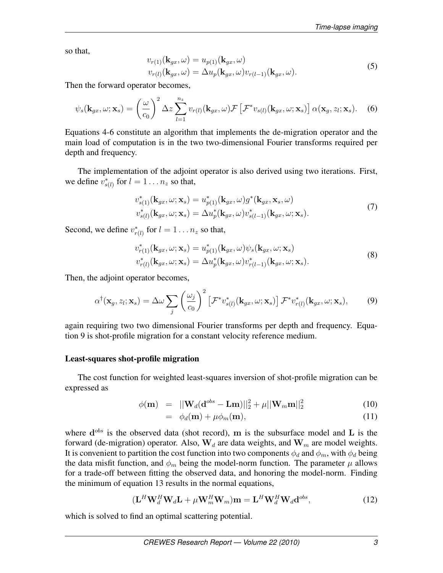so that,

$$
v_{r(1)}(\mathbf{k}_{gx}, \omega) = u_{p(1)}(\mathbf{k}_{gx}, \omega)
$$
  
\n
$$
v_{r(l)}(\mathbf{k}_{gx}, \omega) = \Delta u_p(\mathbf{k}_{gx}, \omega) v_{r(l-1)}(\mathbf{k}_{gx}, \omega).
$$
\n(5)

Then the forward operator becomes,

$$
\psi_s(\mathbf{k}_{gx}, \omega; \mathbf{x}_s) = \left(\frac{\omega}{c_0}\right)^2 \Delta z \sum_{l=1}^{n_z} v_{r(l)}(\mathbf{k}_{gx}, \omega) \mathcal{F}\left[\mathcal{F}^* v_{s(l)}(\mathbf{k}_{gx}, \omega; \mathbf{x}_s)\right] \alpha(\mathbf{x}_g, z_l; \mathbf{x}_s).
$$
 (6)

Equations 4-6 constitute an algorithm that implements the de-migration operator and the main load of computation is in the two two-dimensional Fourier transforms required per depth and frequency.

The implementation of the adjoint operator is also derived using two iterations. First, we define  $v_{s(l)}^*$  for  $l = 1 \dots n_z$  so that,

$$
v_{s(1)}^*(\mathbf{k}_{gx}, \omega; \mathbf{x}_s) = u_{p(1)}^*(\mathbf{k}_{gx}, \omega)g^*(\mathbf{k}_{gx}, \mathbf{x}_s, \omega)
$$
  

$$
v_{s(l)}^*(\mathbf{k}_{gx}, \omega; \mathbf{x}_s) = \Delta u_p^*(\mathbf{k}_{gx}, \omega)v_{s(l-1)}^*(\mathbf{k}_{gx}, \omega; \mathbf{x}_s).
$$
 (7)

Second, we define  $v_{r(l)}^*$  for  $l = 1 \dots n_z$  so that,

$$
v_{r(1)}^*(\mathbf{k}_{gx}, \omega; \mathbf{x}_s) = u_{p(1)}^*(\mathbf{k}_{gx}, \omega) \psi_s(\mathbf{k}_{gx}, \omega; \mathbf{x}_s)
$$
  
\n
$$
v_{r(l)}^*(\mathbf{k}_{gx}, \omega; \mathbf{x}_s) = \Delta u_p^*(\mathbf{k}_{gx}, \omega) v_{r(l-1)}^*(\mathbf{k}_{gx}, \omega; \mathbf{x}_s).
$$
\n(8)

Then, the adjoint operator becomes,

$$
\alpha^{\dagger}(\mathbf{x}_{g}, z_{l}; \mathbf{x}_{s}) = \Delta \omega \sum_{j} \left(\frac{\omega_{j}}{c_{0}}\right)^{2} \left[\mathcal{F}^{*} v_{s(l)}^{*}(\mathbf{k}_{gx}, \omega; \mathbf{x}_{s})\right] \mathcal{F}^{*} v_{r(l)}^{*}(\mathbf{k}_{gx}, \omega; \mathbf{x}_{s}), \tag{9}
$$

again requiring two two dimensional Fourier transforms per depth and frequency. Equation 9 is shot-profile migration for a constant velocity reference medium.

#### Least-squares shot-profile migration

The cost function for weighted least-squares inversion of shot-profile migration can be expressed as

$$
\phi(\mathbf{m}) = ||\mathbf{W}_d(\mathbf{d}^{obs} - \mathbf{L}\mathbf{m})||_2^2 + \mu ||\mathbf{W}_m \mathbf{m}||_2^2
$$
 (10)

$$
= \phi_d(\mathbf{m}) + \mu \phi_m(\mathbf{m}), \qquad (11)
$$

where  $d^{obs}$  is the observed data (shot record), m is the subsurface model and L is the forward (de-migration) operator. Also,  $W_d$  are data weights, and  $W_m$  are model weights. It is convenient to partition the cost function into two components  $\phi_d$  and  $\phi_m$ , with  $\phi_d$  being the data misfit function, and  $\phi_m$  being the model-norm function. The parameter  $\mu$  allows for a trade-off between fitting the observed data, and honoring the model-norm. Finding the minimum of equation 13 results in the normal equations,

$$
(\mathbf{L}^H \mathbf{W}_d^H \mathbf{W}_d \mathbf{L} + \mu \mathbf{W}_m^H \mathbf{W}_m) \mathbf{m} = \mathbf{L}^H \mathbf{W}_d^H \mathbf{W}_d \mathbf{d}^{obs},
$$
(12)

which is solved to find an optimal scattering potential.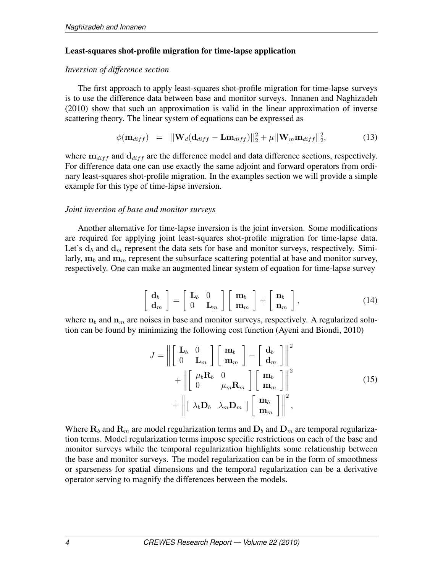## Least-squares shot-profile migration for time-lapse application

### *Inversion of difference section*

The first approach to apply least-squares shot-profile migration for time-lapse surveys is to use the difference data between base and monitor surveys. Innanen and Naghizadeh (2010) show that such an approximation is valid in the linear approximation of inverse scattering theory. The linear system of equations can be expressed as

$$
\phi(\mathbf{m}_{diff}) = ||\mathbf{W}_d(\mathbf{d}_{diff} - \mathbf{L}\mathbf{m}_{diff})||_2^2 + \mu ||\mathbf{W}_m \mathbf{m}_{diff}||_2^2, \tag{13}
$$

where  $m_{diff}$  and  $d_{diff}$  are the difference model and data difference sections, respectively. For difference data one can use exactly the same adjoint and forward operators from ordinary least-squares shot-profile migration. In the examples section we will provide a simple example for this type of time-lapse inversion.

## *Joint inversion of base and monitor surveys*

Another alternative for time-lapse inversion is the joint inversion. Some modifications are required for applying joint least-squares shot-profile migration for time-lapse data. Let's  $d_b$  and  $d_m$  represent the data sets for base and monitor surveys, respectively. Similarly,  $m_b$  and  $m_m$  represent the subsurface scattering potential at base and monitor survey, respectively. One can make an augmented linear system of equation for time-lapse survey

$$
\left[\begin{array}{c}\n\mathbf{d}_b \\
\mathbf{d}_m\n\end{array}\right] = \left[\begin{array}{cc}\n\mathbf{L}_b & 0 \\
0 & \mathbf{L}_m\n\end{array}\right] \left[\begin{array}{c}\n\mathbf{m}_b \\
\mathbf{m}_m\n\end{array}\right] + \left[\begin{array}{c}\n\mathbf{n}_b \\
\mathbf{n}_m\n\end{array}\right],
$$
\n(14)

where  $n_b$  and  $n_m$  are noises in base and monitor surveys, respectively. A regularized solution can be found by minimizing the following cost function (Ayeni and Biondi, 2010)

$$
J = \left\| \begin{bmatrix} \mathbf{L}_b & 0 \\ 0 & \mathbf{L}_m \end{bmatrix} \begin{bmatrix} \mathbf{m}_b \\ \mathbf{m}_m \end{bmatrix} - \begin{bmatrix} \mathbf{d}_b \\ \mathbf{d}_m \end{bmatrix} \right\|^2
$$
  
+ 
$$
\left\| \begin{bmatrix} \mu_b \mathbf{R}_b & 0 \\ 0 & \mu_m \mathbf{R}_m \end{bmatrix} \begin{bmatrix} \mathbf{m}_b \\ \mathbf{m}_m \end{bmatrix} \right\|^2
$$
  
+ 
$$
\left\| \begin{bmatrix} \lambda_b \mathbf{D}_b & \lambda_m \mathbf{D}_m \end{bmatrix} \begin{bmatrix} \mathbf{m}_b \\ \mathbf{m}_m \end{bmatrix} \right\|^2,
$$
 (15)

Where  $\mathbf{R}_b$  and  $\mathbf{R}_m$  are model regularization terms and  $\mathbf{D}_b$  and  $\mathbf{D}_m$  are temporal regularization terms. Model regularization terms impose specific restrictions on each of the base and monitor surveys while the temporal regularization highlights some relationship between the base and monitor surveys. The model regularization can be in the form of smoothness or sparseness for spatial dimensions and the temporal regularization can be a derivative operator serving to magnify the differences between the models.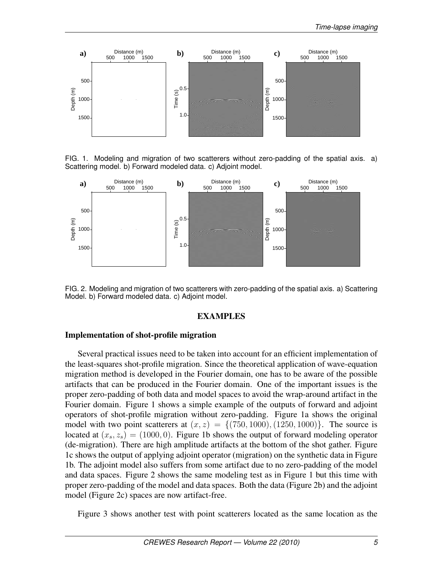

FIG. 1. Modeling and migration of two scatterers without zero-padding of the spatial axis. a) Scattering model. b) Forward modeled data. c) Adjoint model.



FIG. 2. Modeling and migration of two scatterers with zero-padding of the spatial axis. a) Scattering Model. b) Forward modeled data. c) Adjoint model.

# EXAMPLES

#### Implementation of shot-profile migration

Several practical issues need to be taken into account for an efficient implementation of the least-squares shot-profile migration. Since the theoretical application of wave-equation migration method is developed in the Fourier domain, one has to be aware of the possible artifacts that can be produced in the Fourier domain. One of the important issues is the proper zero-padding of both data and model spaces to avoid the wrap-around artifact in the Fourier domain. Figure 1 shows a simple example of the outputs of forward and adjoint operators of shot-profile migration without zero-padding. Figure 1a shows the original model with two point scatterers at  $(x, z) = \{(750, 1000), (1250, 1000)\}\.$  The source is located at  $(x_s, z_s) = (1000, 0)$ . Figure 1b shows the output of forward modeling operator (de-migration). There are high amplitude artifacts at the bottom of the shot gather. Figure 1c shows the output of applying adjoint operator (migration) on the synthetic data in Figure 1b. The adjoint model also suffers from some artifact due to no zero-padding of the model and data spaces. Figure 2 shows the same modeling test as in Figure 1 but this time with proper zero-padding of the model and data spaces. Both the data (Figure 2b) and the adjoint model (Figure 2c) spaces are now artifact-free.

Figure 3 shows another test with point scatterers located as the same location as the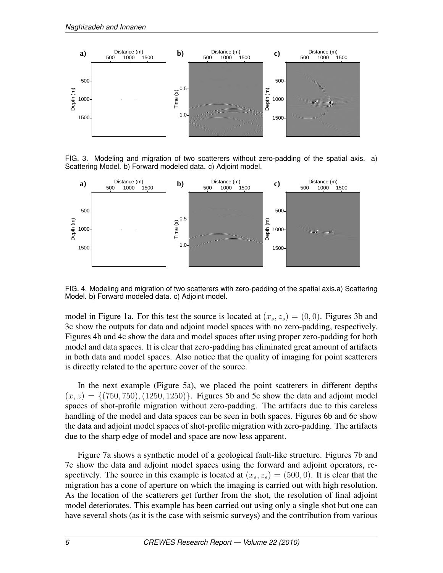

FIG. 3. Modeling and migration of two scatterers without zero-padding of the spatial axis. a) Scattering Model. b) Forward modeled data. c) Adjoint model.



FIG. 4. Modeling and migration of two scatterers with zero-padding of the spatial axis.a) Scattering Model. b) Forward modeled data. c) Adjoint model.

model in Figure 1a. For this test the source is located at  $(x_s, z_s) = (0, 0)$ . Figures 3b and 3c show the outputs for data and adjoint model spaces with no zero-padding, respectively. Figures 4b and 4c show the data and model spaces after using proper zero-padding for both model and data spaces. It is clear that zero-padding has eliminated great amount of artifacts in both data and model spaces. Also notice that the quality of imaging for point scatterers is directly related to the aperture cover of the source.

In the next example (Figure 5a), we placed the point scatterers in different depths  $(x, z) = \{(750, 750), (1250, 1250)\}.$  Figures 5b and 5c show the data and adjoint model spaces of shot-profile migration without zero-padding. The artifacts due to this careless handling of the model and data spaces can be seen in both spaces. Figures 6b and 6c show the data and adjoint model spaces of shot-profile migration with zero-padding. The artifacts due to the sharp edge of model and space are now less apparent.

Figure 7a shows a synthetic model of a geological fault-like structure. Figures 7b and 7c show the data and adjoint model spaces using the forward and adjoint operators, respectively. The source in this example is located at  $(x_s, z_s) = (500, 0)$ . It is clear that the migration has a cone of aperture on which the imaging is carried out with high resolution. As the location of the scatterers get further from the shot, the resolution of final adjoint model deteriorates. This example has been carried out using only a single shot but one can have several shots (as it is the case with seismic surveys) and the contribution from various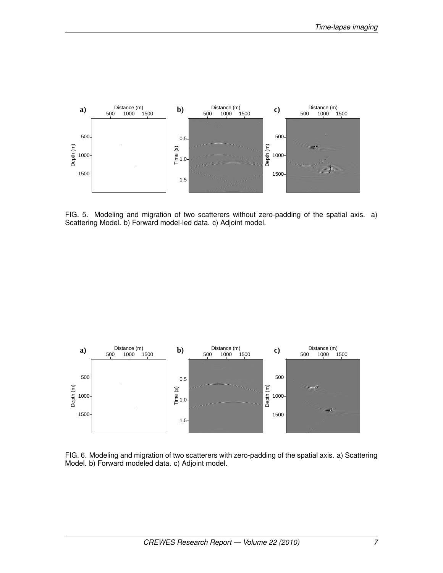

FIG. 5. Modeling and migration of two scatterers without zero-padding of the spatial axis. a) Scattering Model. b) Forward model-led data. c) Adjoint model.



FIG. 6. Modeling and migration of two scatterers with zero-padding of the spatial axis. a) Scattering Model. b) Forward modeled data. c) Adjoint model.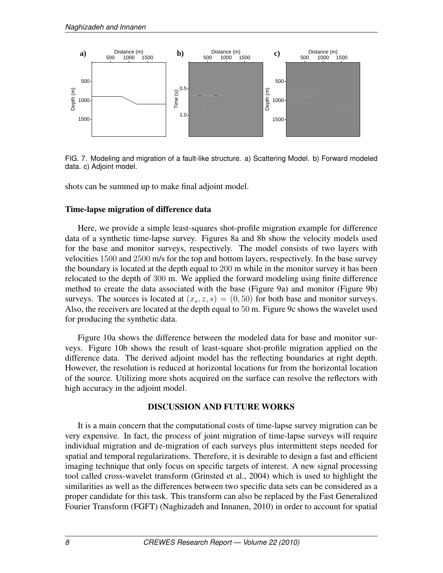

FIG. 7. Modeling and migration of a fault-like structure. a) Scattering Model. b) Forward modeled data. c) Adjoint model.

shots can be summed up to make final adjoint model.

## Time-lapse migration of difference data

Here, we provide a simple least-squares shot-profile migration example for difference data of a synthetic time-lapse survey. Figures 8a and 8b show the velocity models used for the base and monitor surveys, respectively. The model consists of two layers with velocities 1500 and 2500 m/s for the top and bottom layers, respectively. In the base survey the boundary is located at the depth equal to 200 m while in the monitor survey it has been relocated to the depth of 300 m. We applied the forward modeling using finite difference method to create the data associated with the base (Figure 9a) and monitor (Figure 9b) surveys. The sources is located at  $(x_s, z, s) = (0, 50)$  for both base and monitor surveys. Also, the receivers are located at the depth equal to 50 m. Figure 9c shows the wavelet used for producing the synthetic data.

Figure 10a shows the difference between the modeled data for base and monitor surveys. Figure 10b shows the result of least-square shot-profile migration applied on the difference data. The derived adjoint model has the reflecting boundaries at right depth. However, the resolution is reduced at horizontal locations fur from the horizontal location of the source. Utilizing more shots acquired on the surface can resolve the reflectors with high accuracy in the adjoint model.

## DISCUSSION AND FUTURE WORKS

It is a main concern that the computational costs of time-lapse survey migration can be very expensive. In fact, the process of joint migration of time-lapse surveys will require individual migration and de-migration of each surveys plus intermittent steps needed for spatial and temporal regularizations. Therefore, it is desirable to design a fast and efficient imaging technique that only focus on specific targets of interest. A new signal processing tool called cross-wavelet transform (Grinsted et al., 2004) which is used to highlight the similarities as well as the differences between two specific data sets can be considered as a proper candidate for this task. This transform can also be replaced by the Fast Generalized Fourier Transform (FGFT) (Naghizadeh and Innanen, 2010) in order to account for spatial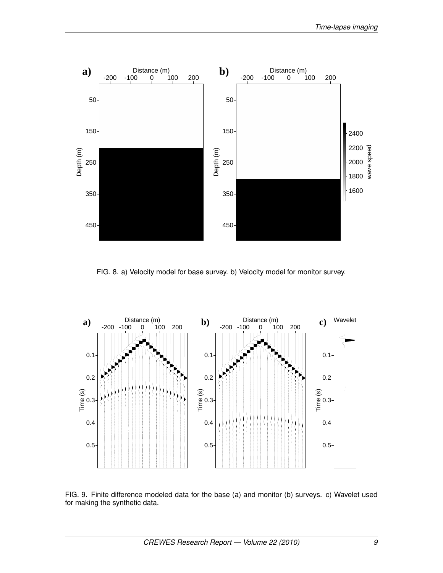

FIG. 8. a) Velocity model for base survey. b) Velocity model for monitor survey.



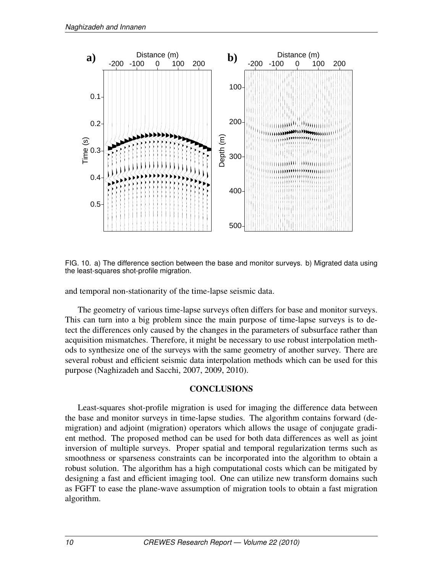

FIG. 10. a) The difference section between the base and monitor surveys. b) Migrated data using the least-squares shot-profile migration.

and temporal non-stationarity of the time-lapse seismic data.

The geometry of various time-lapse surveys often differs for base and monitor surveys. This can turn into a big problem since the main purpose of time-lapse surveys is to detect the differences only caused by the changes in the parameters of subsurface rather than acquisition mismatches. Therefore, it might be necessary to use robust interpolation methods to synthesize one of the surveys with the same geometry of another survey. There are several robust and efficient seismic data interpolation methods which can be used for this purpose (Naghizadeh and Sacchi, 2007, 2009, 2010).

# CONCLUSIONS

Least-squares shot-profile migration is used for imaging the difference data between the base and monitor surveys in time-lapse studies. The algorithm contains forward (demigration) and adjoint (migration) operators which allows the usage of conjugate gradient method. The proposed method can be used for both data differences as well as joint inversion of multiple surveys. Proper spatial and temporal regularization terms such as smoothness or sparseness constraints can be incorporated into the algorithm to obtain a robust solution. The algorithm has a high computational costs which can be mitigated by designing a fast and efficient imaging tool. One can utilize new transform domains such as FGFT to ease the plane-wave assumption of migration tools to obtain a fast migration algorithm.